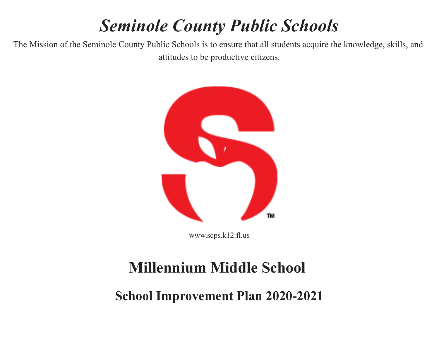# *Seminole County Public Schools*

The Mission of the Seminole County Public Schools is to ensure that all students acquire the knowledge, skills, and attitudes to be productive citizens.



www.scps.k12.fl.us

# **Millennium Middle School**

**School Improvement Plan 2020-2021**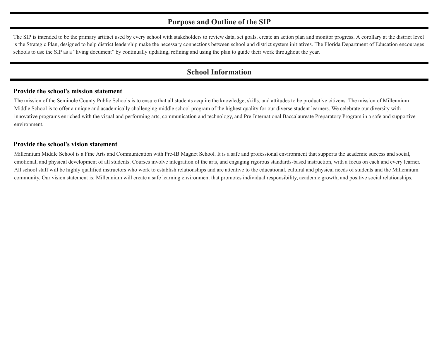## **Purpose and Outline of the SIP**

The SIP is intended to be the primary artifact used by every school with stakeholders to review data, set goals, create an action plan and monitor progress. A corollary at the district level is the Strategic Plan, designed to help district leadership make the necessary connections between school and district system initiatives. The Florida Department of Education encourages schools to use the SIP as a "living document" by continually updating, refining and using the plan to guide their work throughout the year.

#### **School Information**

#### **Provide the school's mission statement**

The mission of the Seminole County Public Schools is to ensure that all students acquire the knowledge, skills, and attitudes to be productive citizens. The mission of Millennium Middle School is to offer a unique and academically challenging middle school program of the highest quality for our diverse student learners. We celebrate our diversity with innovative programs enriched with the visual and performing arts, communication and technology, and Pre-International Baccalaureate Preparatory Program in a safe and supportive environment.

#### **Provide the school's vision statement**

Millennium Middle School is a Fine Arts and Communication with Pre-IB Magnet School. It is a safe and professional environment that supports the academic success and social, emotional, and physical development of all students. Courses involve integration of the arts, and engaging rigorous standards-based instruction, with a focus on each and every learner. All school staff will be highly qualified instructors who work to establish relationships and are attentive to the educational, cultural and physical needs of students and the Millennium community. Our vision statement is: Millennium will create a safe learning environment that promotes individual responsibility, academic growth, and positive social relationships.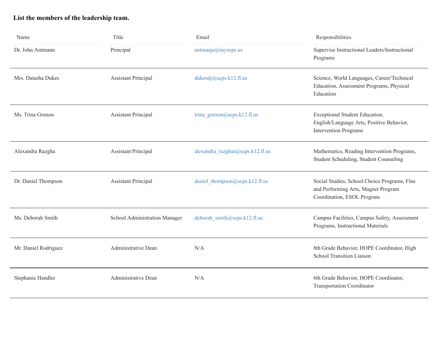## **List the members of the leadership team.**

| Name                 | Title                         | Email                            | Responsibilities                                                                                                  |
|----------------------|-------------------------------|----------------------------------|-------------------------------------------------------------------------------------------------------------------|
| Dr. John Antmann     | Principal                     | antmanjs@myscps.us               | Supervise Instructional Leaders/Instructional<br>Programs                                                         |
| Mrs. Datasha Dukes   | <b>Assistant Principal</b>    | dukesdj@scps.k12.fl.us           | Science, World Languages, Career/Technical<br>Education, Assessment Programs, Physical<br>Education               |
| Ms. Trina Grenon     | <b>Assistant Principal</b>    | trina_grenon@scps.k12.fl.us      | Exceptional Student Education,<br>English/Language Arts, Positive Behavior,<br><b>Intervention Programs</b>       |
| Alexandra Razgha     | <b>Assistant Principal</b>    | alexandra_razghat@scps.k12.fl.us | Mathematics, Reading Intervention Programs,<br>Student Scheduling, Student Counseling                             |
| Dr. Daniel Thompson  | <b>Assistant Principal</b>    | daniel thompson@scps.k12.fl.us   | Social Studies, School Choice Programs, Fine<br>and Performing Arts, Magnet Program<br>Coordination, ESOL Program |
| Ms. Deborah Smith    | School Administration Manager | deborah smith@scps.k12.fl.us     | Campus Facilities, Campus Safety, Assessment<br>Programs, Instructional Materials                                 |
| Mr. Daniel Rodriguez | <b>Administrative Dean</b>    | N/A                              | 8th Grade Behavior, HOPE Coordinator, High<br>School Transition Liaison                                           |
| Stephanie Handler    | Administrative Dean           | N/A                              | 6th Grade Behavior, HOPE Coordinator,<br><b>Transportation Coordinator</b>                                        |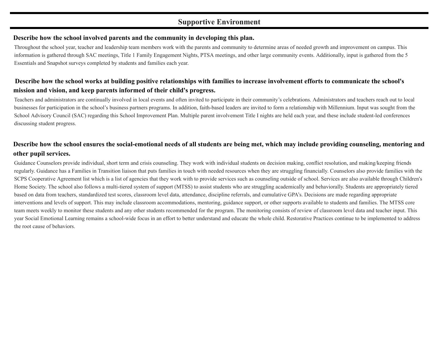## **Supportive Environment**

#### **Describe how the school involved parents and the community in developing this plan.**

Throughout the school year, teacher and leadership team members work with the parents and community to determine areas of needed growth and improvement on campus. This information is gathered through SAC meetings, Title 1 Family Engagement Nights, PTSA meetings, and other large community events. Additionally, input is gathered from the 5 Essentials and Snapshot surveys completed by students and families each year.

#### **Describe how the school works at building positive relationships with families to increase involvement efforts to communicate the school's mission and vision, and keep parents informed of their child's progress.**

Teachers and administrators are continually involved in local events and often invited to participate in their community's celebrations. Administrators and teachers reach out to local businesses for participation in the school's business partners programs. In addition, faith-based leaders are invited to form a relationship with Millennium. Input was sought from the School Advisory Council (SAC) regarding this School Improvement Plan. Multiple parent involvement Title I nights are held each year, and these include student-led conferences discussing student progress.

#### **Describe how the school ensures the social-emotional needs of all students are being met, which may include providing counseling, mentoring and other pupil services.**

Guidance Counselors provide individual, short term and crisis counseling. They work with individual students on decision making, conflict resolution, and making/keeping friends regularly. Guidance has a Families in Transition liaison that puts families in touch with needed resources when they are struggling financially. Counselors also provide families with the SCPS Cooperative Agreement list which is a list of agencies that they work with to provide services such as counseling outside of school. Services are also available through Children's Home Society. The school also follows a multi-tiered system of support (MTSS) to assist students who are struggling academically and behaviorally. Students are appropriately tiered based on data from teachers, standardized test scores, classroom level data, attendance, discipline referrals, and cumulative GPA's. Decisions are made regarding appropriate interventions and levels of support. This may include classroom accommodations, mentoring, guidance support, or other supports available to students and families. The MTSS core team meets weekly to monitor these students and any other students recommended for the program. The monitoring consists of review of classroom level data and teacher input. This year Social Emotional Learning remains a school-wide focus in an effort to better understand and educate the whole child. Restorative Practices continue to be implemented to address the root cause of behaviors.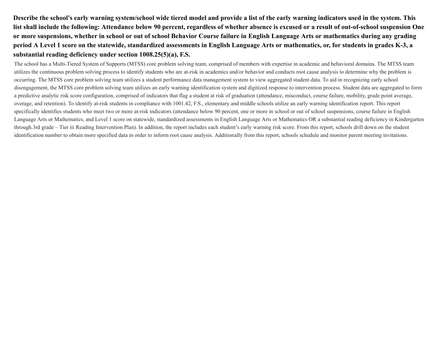**Describe the school's early warning system/school wide tiered model and provide a list of the early warning indicators used in the system. This list shall include the following: Attendance below 90 percent, regardless of whether absence is excused or a result of out-of-school suspension One or more suspensions, whether in school or out of school Behavior Course failure in English Language Arts or mathematics during any grading period A Level 1 score on the statewide, standardized assessments in English Language Arts or mathematics, or, for students in grades K-3, a substantial reading deficiency under section 1008.25(5)(a), F.S.**

The school has a Multi-Tiered System of Supports (MTSS) core problem solving team, comprised of members with expertise in academic and behavioral domains. The MTSS team utilizes the continuous problem solving process to identify students who are at-risk in academics and/or behavior and conducts root cause analysis to determine why the problem is occurring. The MTSS core problem solving team utilizes a student performance data management system to view aggregated student data. To aid in recognizing early school disengagement, the MTSS core problem solving team utilizes an early warning identification system and digitized response to intervention process. Student data are aggregated to form a predictive analytic risk score configuration, comprised of indicators that flag a student at risk of graduation (attendance, misconduct, course failure, mobility, grade point average, overage, and retention). To identify at-risk students in compliance with 1001.42, F.S., elementary and middle schools utilize an early warning identification report. This report specifically identifies students who meet two or more at-risk indicators (attendance below 90 percent, one or more in school or out of school suspensions, course failure in English Language Arts or Mathematics, and Level 1 score on statewide, standardized assessments in English Language Arts or Mathematics OR a substantial reading deficiency in Kindergarten through.3rd grade – Tier iii Reading Intervention Plan). In addition, the report includes each student's early warning risk score. From this report, schools drill down on the student identification number to obtain more specified data in order to inform root cause analysis. Additionally from this report, schools schedule and monitor parent meeting invitations.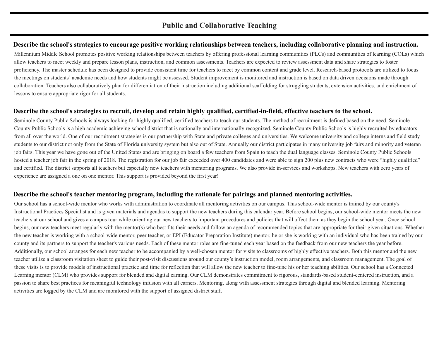## **Public and Collaborative Teaching**

#### **Describe the school's strategies to encourage positive working relationships between teachers, including collaborative planning and instruction.**

Millennium Middle School promotes positive working relationships between teachers by offering professional learning communities (PLCs) and communities of learning (COLs) which allow teachers to meet weekly and prepare lesson plans, instruction, and common assessments. Teachers are expected to review assessment data and share strategies to foster proficiency. The master schedule has been designed to provide consistent time for teachers to meet by common content and grade level. Research-based protocols are utilized to focus the meetings on students' academic needs and how students might be assessed. Student improvement is monitored and instruction is based on data driven decisions made through collaboration. Teachers also collaboratively plan for differentiation of their instruction including additional scaffolding for struggling students, extension activities, and enrichment of lessons to ensure appropriate rigor for all students.

#### **Describe the school's strategies to recruit, develop and retain highly qualified, certified-in-field, effective teachers to the school.**

Seminole County Public Schools is always looking for highly qualified, certified teachers to teach our students. The method of recruitment is defined based on the need. Seminole County Public Schools is a high academic achieving school district that is nationally and internationally recognized. Seminole County Public Schools is highly recruited by educators from all over the world. One of our recruitment strategies is our partnership with State and private colleges and universities. We welcome university and college interns and field study students to our district not only from the State of Florida university system but also out of State. Annually our district participates in many university job fairs and minority and veteran job fairs. This year we have gone out of the United States and are bringing on board a few teachers from Spain to teach the dual language classes. Seminole County Public Schools hosted a teacher job fair in the spring of 2018. The registration for our job fair exceeded over 400 candidates and were able to sign 200 plus new contracts who were "highly qualified" and certified. The district supports all teachers but especially new teachers with mentoring programs. We also provide in-services and workshops. New teachers with zero years of experience are assigned a one on one mentor. This support is provided beyond the first year!

#### **Describe the school's teacher mentoring program, including the rationale for pairings and planned mentoring activities.**

Our school has a school-wide mentor who works with administration to coordinate all mentoring activities on our campus. This school-wide mentor is trained by our county's Instructional Practices Specialist and is given materials and agendas to support the new teachers during this calendar year. Before school begins, our school-wide mentor meets the new teachers at our school and gives a campus tour while orienting our new teachers to important procedures and policies that will affect them as they begin the school year. Once school begins, our new teachers meet regularly with the mentor(s) who best fits their needs and follow an agenda of recommended topics that are appropriate for their given situations. Whether the new teacher is working with a school-wide mentor, peer teacher, or EPI (Educator Preparation Institute) mentor, he or she is working with an individual who has been trained by our county and its partners to support the teacher's various needs. Each of these mentor roles are fine-tuned each year based on the feedback from our new teachers the year before. Additionally, our school arranges for each new teacher to be accompanied by a well-chosen mentor for visits to classrooms of highly effective teachers. Both this mentor and the new teacher utilize a classroom visitation sheet to guide their post-visit discussions around our county's instruction model, room arrangements, and classroom management. The goal of these visits is to provide models of instructional practice and time for reflection that will allow the new teacher to fine-tune his or her teaching abilities. Our school has a Connected Learning mentor (CLM) who provides support for blended and digital earning. Our CLM demonstrates commitment to rigorous, standards-based student-centered instruction, and a passion to share best practices for meaningful technology infusion with all earners. Mentoring, along with assessment strategies through digital and blended learning. Mentoring activities are logged by the CLM and are monitored with the support of assigned district staff.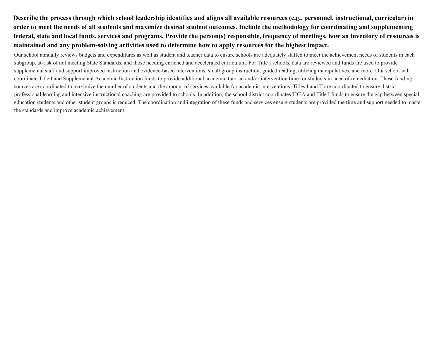**Describe the process through which school leadership identifies and aligns all available resources (e.g., personnel, instructional, curricular) in order to meet the needs of all students and maximize desired student outcomes. Include the methodology for coordinating and supplementing federal, state and local funds, services and programs. Provide the person(s) responsible, frequency of meetings, how an inventory of resources is maintained and any problem-solving activities used to determine how to apply resources for the highest impact.**

Our school annually reviews budgets and expenditures as well as student and teacher data to ensure schools are adequately staffed to meet the achievement needs of students in each subgroup, at-risk of not meeting State Standards, and those needing enriched and accelerated curriculum. For Title I schools, data are reviewed and funds are used to provide supplemental staff and support improved instruction and evidence-based interventions; small group instruction, guided reading, utilizing manipulatives, and more. Our school will coordinate Title I and Supplemental Academic Instruction funds to provide additional academic tutorial and/or intervention time for students in need of remediation. These funding sources are coordinated to maximize the number of students and the amount of services available for academic interventions. Titles I and II are coordinated to ensure district professional learning and intensive instructional coaching are provided to schools. In addition, the school district coordinates IDEA and Title I funds to ensure the gap between special education students and other student groups is reduced. The coordination and integration of these funds and services ensure students are provided the time and support needed to master the standards and improve academic achievement.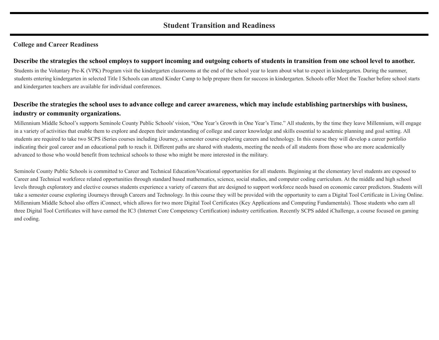## **Student Transition and Readiness**

#### **College and Career Readiness**

#### **Describe the strategies the school employs to support incoming and outgoing cohorts of students in transition from one school level to another.**

Students in the Voluntary Pre-K (VPK) Program visit the kindergarten classrooms at the end of the school year to learn about what to expect in kindergarten. During the summer, students entering kindergarten in selected Title I Schools can attend Kinder Camp to help prepare them for success in kindergarten. Schools offer Meet the Teacher before school starts and kindergarten teachers are available for individual conferences.

#### **Describe the strategies the school uses to advance college and career awareness, which may include establishing partnerships with business, industry or community organizations.**

Millennium Middle School's supports Seminole County Public Schools' vision, "One Year's Growth in One Year's Time." All students, by the time they leave Millennium, will engage in a variety of activities that enable them to explore and deepen their understanding of college and career knowledge and skills essential to academic planning and goal setting. All students are required to take two SCPS iSeries courses including iJourney, a semester course exploring careers and technology. In this course they will develop a career portfolio indicating their goal career and an educational path to reach it. Different paths are shared with students, meeting the needs of all students from those who are more academically advanced to those who would benefit from technical schools to those who might be more interested in the military.

Seminole County Public Schools is committed to Career and Technical Education/Vocational opportunities for all students. Beginning at the elementary level students are exposed to Career and Technical workforce related opportunities through standard based mathematics, science, social studies, and computer coding curriculum. At the middle and high school levels through exploratory and elective courses students experience a variety of careers that are designed to support workforce needs based on economic career predictors. Students will take a semester course exploring iJourneys through Careers and Technology. In this course they will be provided with the opportunity to earn a Digital Tool Certificate in Living Online. Millennium Middle School also offers iConnect, which allows for two more Digital Tool Certificates (Key Applications and Computing Fundamentals). Those students who earn all three Digital Tool Certificates will have earned the IC3 (Internet Core Competency Certification) industry certification. Recently SCPS added iChallenge, a course focused on gaming and coding.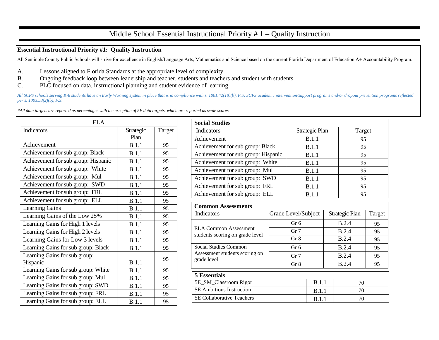## Middle School Essential Instructional Priority # 1 – Quality Instruction

#### **Essential Instructional Priority #1: Quality Instruction**

All Seminole County Public Schools will strive for excellence in English/Language Arts, Mathematics and Science based on the current Florida Department of Education A+ Accountability Program.

- A. Lessons aligned to Florida Standards at the appropriate level of complexity <br>B. Ongoing feedback loop between leadership and teacher, students and teacher
- B. Ongoing feedback loop between leadership and teacher, students and teachers and student with students C. PLC focused on data, instructional planning and student evidence of learning
- PLC focused on data, instructional planning and student evidence of learning

*All SCPS schools serving K-8 students have an Early Warning system in place that is in compliance with s. 1001.42(18)(b), F.S; SCPS academic intervention/support programs and/or dropout prevention programs reflected per s. 1003.53(2)(b), F.S.*

*\*All data targets are reported as percentages with the exception of 5E data targets, which are reported as scale scores.*

| <b>ELA</b>                                |                   |        |  |  |  |  |
|-------------------------------------------|-------------------|--------|--|--|--|--|
| Indicators                                | Strategic<br>Plan | Target |  |  |  |  |
| Achievement                               | B.1.1             | 95     |  |  |  |  |
| Achievement for sub group: Black          | B.1.1             | 95     |  |  |  |  |
| Achievement for sub group: Hispanic       | B.1.1             | 95     |  |  |  |  |
| Achievement for sub group: White          | B.1.1             | 95     |  |  |  |  |
| Achievement for sub group: Mul            | B.1.1             | 95     |  |  |  |  |
| Achievement for sub group: SWD            | B.1.1             | 95     |  |  |  |  |
| Achievement for sub group: FRL            | B.1.1             | 95     |  |  |  |  |
| Achievement for sub group: ELL            | B.1.1             | 95     |  |  |  |  |
| <b>Learning Gains</b>                     | B.1.1             | 95     |  |  |  |  |
| Learning Gains of the Low 25%             | B.1.1             | 95     |  |  |  |  |
| Learning Gains for High 1 levels          | B.1.1             | 95     |  |  |  |  |
| Learning Gains for High 2 levels          | B.1.1             | 95     |  |  |  |  |
| Learning Gains for Low 3 levels           | B.1.1             | 95     |  |  |  |  |
| Learning Gains for sub group: Black       | B.1.1             | 95     |  |  |  |  |
| Learning Gains for sub group:<br>Hispanic | B.1.1             | 95     |  |  |  |  |
| Learning Gains for sub group: White       | B.1.1             | 95     |  |  |  |  |
| Learning Gains for sub group: Mul         | B.1.1             | 95     |  |  |  |  |
| Learning Gains for sub group: SWD         | B.1.1             | 95     |  |  |  |  |
| Learning Gains for sub group: FRL         | B.1.1             | 95     |  |  |  |  |
| Learning Gains for sub group: ELL         | B.1.1             | 95     |  |  |  |  |

| <b>Social Studies</b>               |                |        |  |  |  |  |
|-------------------------------------|----------------|--------|--|--|--|--|
| Indicators                          | Strategic Plan | Target |  |  |  |  |
| Achievement                         | B.1.1          | 95     |  |  |  |  |
| Achievement for sub group: Black    | <b>B.1.1</b>   | 95     |  |  |  |  |
| Achievement for sub group: Hispanic | B.1.1          | 95     |  |  |  |  |
| Achievement for sub group: White    | B.1.1          | 95     |  |  |  |  |
| Achievement for sub group: Mul      | B.1.1          | 95     |  |  |  |  |
| Achievement for sub group: SWD      | B.1.1          | 95     |  |  |  |  |
| Achievement for sub group: FRL      | B.1.1          | 95     |  |  |  |  |
| Achievement for sub group: ELL      | <b>B.1.1</b>   | 95     |  |  |  |  |

|                              |                                                                                                                                                                                                                                                                      |                                                                                                                                                                                                                                                                    |                                       | 95 |                                                                                                                      |
|------------------------------|----------------------------------------------------------------------------------------------------------------------------------------------------------------------------------------------------------------------------------------------------------------------|--------------------------------------------------------------------------------------------------------------------------------------------------------------------------------------------------------------------------------------------------------------------|---------------------------------------|----|----------------------------------------------------------------------------------------------------------------------|
|                              |                                                                                                                                                                                                                                                                      | <b>B.1.1</b>                                                                                                                                                                                                                                                       |                                       | 95 |                                                                                                                      |
|                              |                                                                                                                                                                                                                                                                      | B.1.1                                                                                                                                                                                                                                                              |                                       | 95 |                                                                                                                      |
|                              |                                                                                                                                                                                                                                                                      | <b>B.1.1</b>                                                                                                                                                                                                                                                       |                                       | 95 |                                                                                                                      |
|                              |                                                                                                                                                                                                                                                                      | <b>B.1.1</b>                                                                                                                                                                                                                                                       |                                       | 95 |                                                                                                                      |
|                              |                                                                                                                                                                                                                                                                      | <b>B.1.1</b>                                                                                                                                                                                                                                                       |                                       | 95 |                                                                                                                      |
|                              |                                                                                                                                                                                                                                                                      | <b>B.1.1</b>                                                                                                                                                                                                                                                       |                                       | 95 |                                                                                                                      |
|                              |                                                                                                                                                                                                                                                                      | <b>B.1.1</b>                                                                                                                                                                                                                                                       |                                       | 95 |                                                                                                                      |
|                              |                                                                                                                                                                                                                                                                      |                                                                                                                                                                                                                                                                    |                                       |    |                                                                                                                      |
|                              |                                                                                                                                                                                                                                                                      |                                                                                                                                                                                                                                                                    |                                       |    |                                                                                                                      |
|                              |                                                                                                                                                                                                                                                                      |                                                                                                                                                                                                                                                                    |                                       |    | Target                                                                                                               |
|                              | Gr <sub>6</sub>                                                                                                                                                                                                                                                      |                                                                                                                                                                                                                                                                    |                                       |    | 95                                                                                                                   |
|                              | Gr 7                                                                                                                                                                                                                                                                 |                                                                                                                                                                                                                                                                    |                                       |    | 95                                                                                                                   |
|                              | Gr <sub>8</sub>                                                                                                                                                                                                                                                      |                                                                                                                                                                                                                                                                    |                                       |    | 95                                                                                                                   |
| <b>Social Studies Common</b> | Gr <sub>6</sub>                                                                                                                                                                                                                                                      |                                                                                                                                                                                                                                                                    |                                       |    | 95                                                                                                                   |
|                              | Gr 7                                                                                                                                                                                                                                                                 |                                                                                                                                                                                                                                                                    |                                       |    | 95                                                                                                                   |
|                              | Gr <sub>8</sub>                                                                                                                                                                                                                                                      |                                                                                                                                                                                                                                                                    |                                       |    | 95                                                                                                                   |
|                              |                                                                                                                                                                                                                                                                      |                                                                                                                                                                                                                                                                    |                                       |    |                                                                                                                      |
|                              |                                                                                                                                                                                                                                                                      |                                                                                                                                                                                                                                                                    |                                       |    |                                                                                                                      |
|                              |                                                                                                                                                                                                                                                                      |                                                                                                                                                                                                                                                                    |                                       |    |                                                                                                                      |
|                              |                                                                                                                                                                                                                                                                      |                                                                                                                                                                                                                                                                    | 70<br>B.1.1                           |    |                                                                                                                      |
|                              |                                                                                                                                                                                                                                                                      | B.1.1                                                                                                                                                                                                                                                              | 70                                    |    |                                                                                                                      |
|                              | <b>Common Assessments</b><br>Indicators<br><b>ELA Common Assessment</b><br>students scoring on grade level<br>Assessment students scoring on<br>grade level<br><b>5</b> Essentials<br>5E_SM_Classroom Rigor<br>5E Ambitious Instruction<br>5E Collaborative Teachers | Achievement<br>Achievement for sub group: Black<br>Achievement for sub group: Hispanic<br>Achievement for sub group: White<br>Achievement for sub group: Mul<br>Achievement for sub group: SWD<br>Achievement for sub group: FRL<br>Achievement for sub group: ELL | B.1.1<br>Grade Level/Subject<br>B.1.1 |    | Strategic Plan<br><b>B.2.4</b><br><b>B.2.4</b><br><b>B.2.4</b><br><b>B.2.4</b><br><b>B.2.4</b><br><b>B.2.4</b><br>70 |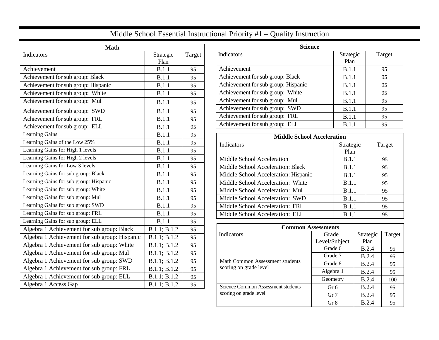# Middle School Essential Instructional Priority #1 – Quality Instruction

| <b>Math</b>                                   |                   |        |  |  |  |  |
|-----------------------------------------------|-------------------|--------|--|--|--|--|
| Indicators                                    | Strategic<br>Plan | Target |  |  |  |  |
| Achievement                                   | B.1.1             | 95     |  |  |  |  |
| Achievement for sub group: Black              | B.1.1             | 95     |  |  |  |  |
| Achievement for sub group: Hispanic           | B.1.1             | 95     |  |  |  |  |
| Achievement for sub group: White              | B.1.1             | 95     |  |  |  |  |
| Achievement for sub group: Mul                | B.1.1             | 95     |  |  |  |  |
| Achievement for sub group: SWD                | B.1.1             | 95     |  |  |  |  |
| Achievement for sub group: FRL                | B.1.1             | 95     |  |  |  |  |
| Achievement for sub group: ELL                | B.1.1             | 95     |  |  |  |  |
| <b>Learning Gains</b>                         | B.1.1             | 95     |  |  |  |  |
| Learning Gains of the Low 25%                 | B.1.1             | 95     |  |  |  |  |
| Learning Gains for High 1 levels              | B.1.1             | 95     |  |  |  |  |
| Learning Gains for High 2 levels              | B.1.1             | 95     |  |  |  |  |
| Learning Gains for Low 3 levels               | B.1.1             | 95     |  |  |  |  |
| Learning Gains for sub group: Black           | B.1.1             | 95     |  |  |  |  |
| Learning Gains for sub group: Hispanic        | B.1.1             | 95     |  |  |  |  |
| Learning Gains for sub group: White           | B.1.1             | 95     |  |  |  |  |
| Learning Gains for sub group: Mul             | B.1.1             | 95     |  |  |  |  |
| Learning Gains for sub group: SWD             | B.1.1             | 95     |  |  |  |  |
| Learning Gains for sub group: FRL             | B.1.1             | 95     |  |  |  |  |
| Learning Gains for sub group: ELL             | B.1.1             | 95     |  |  |  |  |
| Algebra 1 Achievement for sub group: Black    | B.1.1; B.1.2      | 95     |  |  |  |  |
| Algebra 1 Achievement for sub group: Hispanic | B.1.1; B.1.2      | 95     |  |  |  |  |
| Algebra 1 Achievement for sub group: White    | B.1.1; B.1.2      | 95     |  |  |  |  |
| Algebra 1 Achievement for sub group: Mul      | B.1.1; B.1.2      | 95     |  |  |  |  |
| Algebra 1 Achievement for sub group: SWD      | B.1.1; B.1.2      | 95     |  |  |  |  |
| Algebra 1 Achievement for sub group: FRL      | B.1.1; B.1.2      | 95     |  |  |  |  |
| Algebra 1 Achievement for sub group: ELL      | B.1.1; B.1.2      | 95     |  |  |  |  |
| Algebra 1 Access Gap                          | B.1.1; B.1.2      | 95     |  |  |  |  |

|                | <b>Science</b>                      |                   |        |
|----------------|-------------------------------------|-------------------|--------|
| urget          | Indicators                          | Strategic<br>Plan | Target |
| 95             | Achievement                         | <b>B.1.1</b>      | 95     |
| 95             | Achievement for sub group: Black    | <b>B.1.1</b>      | 95     |
| 95             | Achievement for sub group: Hispanic | <b>B.1.1</b>      | 95     |
| $\frac{1}{95}$ | Achievement for sub group: White    | <b>B.1.1</b>      | 95     |
| 95             | Achievement for sub group: Mul      | <b>B.1.1</b>      | 95     |
| 95             | Achievement for sub group: SWD      | B.1.1             | 95     |
| 95             | Achievement for sub group: FRL      | <b>B.1.1</b>      | 95     |
| 95             | Achievement for sub group: ELL      | <b>B.1.1</b>      | 95     |

| 95             | <b>Middle School Acceleration</b>    |              |        |  |  |  |  |  |  |
|----------------|--------------------------------------|--------------|--------|--|--|--|--|--|--|
| 95             | Indicators                           | Strategic    | Target |  |  |  |  |  |  |
| 95             |                                      | Plan         |        |  |  |  |  |  |  |
| $\frac{1}{95}$ | Middle School Acceleration           | <b>B.1.1</b> | 95     |  |  |  |  |  |  |
| 95             | Middle School Acceleration: Black    | <b>B.1.1</b> | 95     |  |  |  |  |  |  |
| 95             | Middle School Acceleration: Hispanic | <b>B.1.1</b> | 95     |  |  |  |  |  |  |
| 95             | Middle School Acceleration: White    | <b>B.1.1</b> | 95     |  |  |  |  |  |  |
| 95             | Middle School Acceleration: Mul      | <b>B.1.1</b> | 95     |  |  |  |  |  |  |
| 95             | Middle School Acceleration: SWD      | <b>B.1.1</b> | 95     |  |  |  |  |  |  |
| 95             | Middle School Acceleration: FRL      | <b>B.1.1</b> | 95     |  |  |  |  |  |  |
| $\frac{1}{95}$ | Middle School Acceleration: ELL      | <b>B.1.1</b> | 95     |  |  |  |  |  |  |

| <b>Common Assessments</b>                                 |                 |              |        |  |  |  |  |  |
|-----------------------------------------------------------|-----------------|--------------|--------|--|--|--|--|--|
| Indicators                                                | Grade           | Strategic    | Target |  |  |  |  |  |
|                                                           | Level/Subject   | Plan         |        |  |  |  |  |  |
|                                                           | Grade 6         | <b>B.2.4</b> | 95     |  |  |  |  |  |
| Math Common Assessment students<br>scoring on grade level | Grade 7         | <b>B.2.4</b> | 95     |  |  |  |  |  |
|                                                           | Grade 8         | <b>B.2.4</b> | 95     |  |  |  |  |  |
|                                                           | Algebra 1       | <b>B.2.4</b> | 95     |  |  |  |  |  |
|                                                           | Geometry        | <b>B.2.4</b> | 100    |  |  |  |  |  |
| Science Common Assessment students                        | Gr <sub>6</sub> | <b>B.2.4</b> | 95     |  |  |  |  |  |
| scoring on grade level                                    | Gr <sub>7</sub> | <b>B.2.4</b> | 95     |  |  |  |  |  |
|                                                           | Gr 8            | <b>B.2.4</b> | 95     |  |  |  |  |  |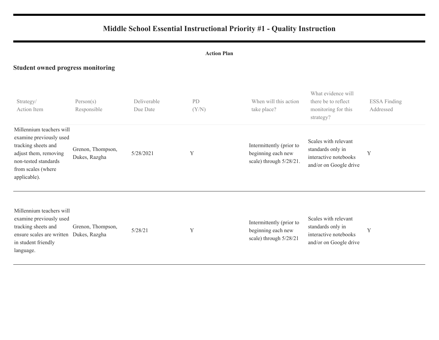# **Middle School Essential Instructional Priority #1 - Quality Instruction**

#### **Action Plan**

#### **Student owned progress monitoring**

| Strategy/<br>Action Item                                                                                                                                          | Person(s)<br>Responsible           | Deliverable<br>Due Date | PD<br>(Y/N) | When will this action<br>take place?                                         | What evidence will<br>there be to reflect<br>monitoring for this<br>strategy?                | <b>ESSA Finding</b><br>Addressed |
|-------------------------------------------------------------------------------------------------------------------------------------------------------------------|------------------------------------|-------------------------|-------------|------------------------------------------------------------------------------|----------------------------------------------------------------------------------------------|----------------------------------|
| Millennium teachers will<br>examine previously used<br>tracking sheets and<br>adjust them, removing<br>non-tested standards<br>from scales (where<br>applicable). | Grenon, Thompson,<br>Dukes, Razgha | 5/28/2021               | Y           | Intermittently (prior to<br>beginning each new<br>scale) through $5/28/21$ . | Scales with relevant<br>standards only in<br>interactive notebooks<br>and/or on Google drive | Y                                |
| Millennium teachers will<br>examine previously used<br>tracking sheets and<br>ensure scales are written<br>in student friendly<br>language.                       | Grenon, Thompson,<br>Dukes, Razgha | 5/28/21                 | Y           | Intermittently (prior to<br>beginning each new<br>scale) through $5/28/21$   | Scales with relevant<br>standards only in<br>interactive notebooks<br>and/or on Google drive | Y                                |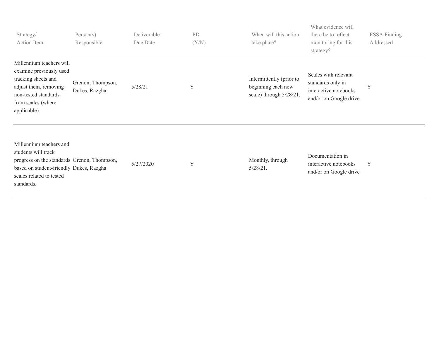| Strategy/<br>Action Item                                                                                                                                                           | Person(s)<br>Responsible           | Deliverable<br>Due Date | <b>PD</b><br>(Y/N) | When will this action<br>take place?                                         | What evidence will<br>there be to reflect<br>monitoring for this<br>strategy?                | <b>ESSA Finding</b><br>Addressed |
|------------------------------------------------------------------------------------------------------------------------------------------------------------------------------------|------------------------------------|-------------------------|--------------------|------------------------------------------------------------------------------|----------------------------------------------------------------------------------------------|----------------------------------|
| Millennium teachers will<br>examine previously used<br>tracking sheets and<br>adjust them, removing<br>non-tested standards<br>from scales (where<br>applicable).                  | Grenon, Thompson,<br>Dukes, Razgha | 5/28/21                 | Y                  | Intermittently (prior to<br>beginning each new<br>scale) through $5/28/21$ . | Scales with relevant<br>standards only in<br>interactive notebooks<br>and/or on Google drive | Y                                |
| Millennium teachers and<br>students will track<br>progress on the standards Grenon, Thompson,<br>based on student-friendly Dukes, Razgha<br>scales related to tested<br>standards. |                                    | 5/27/2020               | Y                  | Monthly, through<br>$5/28/21$ .                                              | Documentation in<br>interactive notebooks<br>and/or on Google drive                          | Y                                |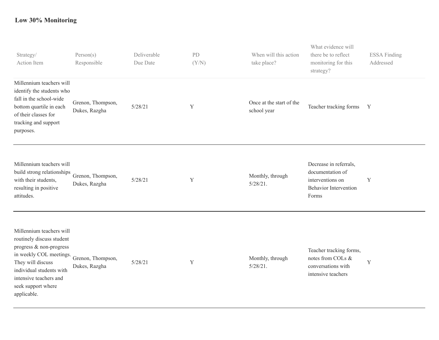## **Low 30% Monitoring**

| Strategy/<br>Action Item                                                                                                                                                                                                    | Person(s)<br>Responsible           | Deliverable<br>Due Date | PD<br>(Y/N) | When will this action<br>take place?    | What evidence will<br>there be to reflect<br>monitoring for this<br>strategy?                           | <b>ESSA Finding</b><br>Addressed |
|-----------------------------------------------------------------------------------------------------------------------------------------------------------------------------------------------------------------------------|------------------------------------|-------------------------|-------------|-----------------------------------------|---------------------------------------------------------------------------------------------------------|----------------------------------|
| Millennium teachers will<br>identify the students who<br>fall in the school-wide<br>bottom quartile in each<br>of their classes for<br>tracking and support<br>purposes.                                                    | Grenon, Thompson,<br>Dukes, Razgha | 5/28/21                 | Y           | Once at the start of the<br>school year | Teacher tracking forms                                                                                  | Y                                |
| Millennium teachers will<br>build strong relationships<br>with their students,<br>resulting in positive<br>attitudes.                                                                                                       | Grenon, Thompson,<br>Dukes, Razgha | 5/28/21                 | Y           | Monthly, through<br>$5/28/21$ .         | Decrease in referrals,<br>documentation of<br>interventions on<br><b>Behavior Intervention</b><br>Forms | Y                                |
| Millennium teachers will<br>routinely discuss student<br>progress & non-progress<br>in weekly COL meetings.<br>They will discuss<br>individual students with<br>intensive teachers and<br>seek support where<br>applicable. | Grenon, Thompson,<br>Dukes, Razgha | 5/28/21                 | Y           | Monthly, through<br>$5/28/21$ .         | Teacher tracking forms,<br>notes from COLs &<br>conversations with<br>intensive teachers                | $\mathbf Y$                      |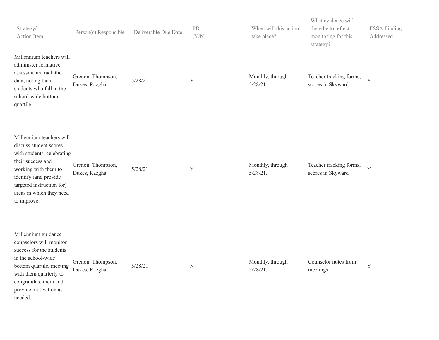| Strategy/<br>Action Item                                                                                                                                                                                                       | Person(s) Responsible              | Deliverable Due Date | PD<br>(Y/N) | When will this action<br>take place? | What evidence will<br>there be to reflect<br>monitoring for this<br>strategy? | <b>ESSA Finding</b><br>Addressed |
|--------------------------------------------------------------------------------------------------------------------------------------------------------------------------------------------------------------------------------|------------------------------------|----------------------|-------------|--------------------------------------|-------------------------------------------------------------------------------|----------------------------------|
| Millennium teachers will<br>administer formative<br>assessments track the<br>data, noting their<br>students who fall in the<br>school-wide bottom<br>quartile.                                                                 | Grenon, Thompson,<br>Dukes, Razgha | 5/28/21              | Y           | Monthly, through<br>$5/28/21$ .      | Teacher tracking forms,<br>scores in Skyward                                  | Y                                |
| Millennium teachers will<br>discuss student scores<br>with students, celebrating<br>their success and<br>working with them to<br>identify (and provide<br>targeted instruction for)<br>areas in which they need<br>to improve. | Grenon, Thompson,<br>Dukes, Razgha | 5/28/21              | $\mathbf Y$ | Monthly, through<br>$5/28/21$ .      | Teacher tracking forms,<br>scores in Skyward                                  | Y                                |
| Millennium guidance<br>counselors will monitor<br>success for the students<br>in the school-wide<br>bottom quartile, meeting<br>with them quarterly to<br>congratulate them and<br>provide motivation as<br>needed.            | Grenon, Thompson,<br>Dukes, Razgha | 5/28/21              | N           | Monthly, through<br>$5/28/21$ .      | Counselor notes from<br>meetings                                              | Y                                |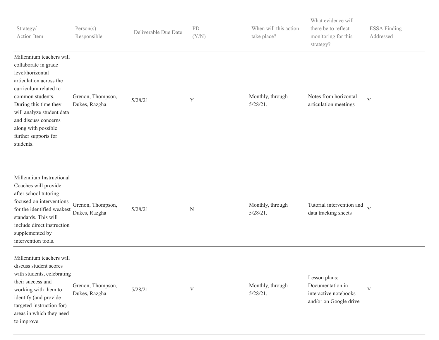| Strategy/<br>Action Item                                                                                                                                                                                                                                                               | Person(s)<br>Responsible           | Deliverable Due Date | ${\rm PD}$<br>(Y/N) | When will this action<br>take place? | What evidence will<br>there be to reflect<br>monitoring for this<br>strategy?        | <b>ESSA Finding</b><br>Addressed |
|----------------------------------------------------------------------------------------------------------------------------------------------------------------------------------------------------------------------------------------------------------------------------------------|------------------------------------|----------------------|---------------------|--------------------------------------|--------------------------------------------------------------------------------------|----------------------------------|
| Millennium teachers will<br>collaborate in grade<br>level/horizontal<br>articulation across the<br>curriculum related to<br>common students.<br>During this time they<br>will analyze student data<br>and discuss concerns<br>along with possible<br>further supports for<br>students. | Grenon, Thompson,<br>Dukes, Razgha | 5/28/21              | Y                   | Monthly, through<br>$5/28/21$ .      | Notes from horizontal<br>articulation meetings                                       | $\mathbf Y$                      |
| Millennium Instructional<br>Coaches will provide<br>after school tutoring<br>focused on interventions<br>for the identified weakest<br>standards. This will<br>include direct instruction<br>supplemented by<br>intervention tools.                                                    | Grenon, Thompson,<br>Dukes, Razgha | 5/28/21              | $\mathbf N$         | Monthly, through<br>$5/28/21$ .      | Tutorial intervention and<br>data tracking sheets                                    | Y                                |
| Millennium teachers will<br>discuss student scores<br>with students, celebrating<br>their success and<br>working with them to<br>identify (and provide<br>targeted instruction for)<br>areas in which they need<br>to improve.                                                         | Grenon, Thompson,<br>Dukes, Razgha | 5/28/21              | Y                   | Monthly, through<br>$5/28/21$ .      | Lesson plans;<br>Documentation in<br>interactive notebooks<br>and/or on Google drive | $\mathbf Y$                      |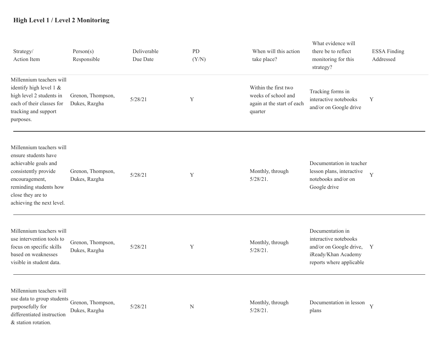## **High Level 1 / Level 2 Monitoring**

| Strategy/<br>Action Item                                                                                                                                                                       | Person(s)<br>Responsible           | Deliverable<br>Due Date | PD<br>(Y/N) | When will this action<br>take place?                                                 | What evidence will<br>there be to reflect<br>monitoring for this<br>strategy?                                           | <b>ESSA Finding</b><br>Addressed |
|------------------------------------------------------------------------------------------------------------------------------------------------------------------------------------------------|------------------------------------|-------------------------|-------------|--------------------------------------------------------------------------------------|-------------------------------------------------------------------------------------------------------------------------|----------------------------------|
| Millennium teachers will<br>identify high level 1 &<br>high level 2 students in<br>each of their classes for<br>tracking and support<br>purposes.                                              | Grenon, Thompson,<br>Dukes, Razgha | 5/28/21                 | Y           | Within the first two<br>weeks of school and<br>again at the start of each<br>quarter | Tracking forms in<br>interactive notebooks<br>and/or on Google drive                                                    | Y                                |
| Millennium teachers will<br>ensure students have<br>achievable goals and<br>consistently provide<br>encouragement,<br>reminding students how<br>close they are to<br>achieving the next level. | Grenon, Thompson,<br>Dukes, Razgha | 5/28/21                 | Y           | Monthly, through<br>$5/28/21$ .                                                      | Documentation in teacher<br>lesson plans, interactive<br>notebooks and/or on<br>Google drive                            | Y                                |
| Millennium teachers will<br>use intervention tools to<br>focus on specific skills<br>based on weaknesses<br>visible in student data.                                                           | Grenon, Thompson,<br>Dukes, Razgha | 5/28/21                 | Y           | Monthly, through<br>$5/28/21$ .                                                      | Documentation in<br>interactive notebooks<br>and/or on Google drive,<br>iReady/Khan Academy<br>reports where applicable | $\mathbf{Y}$                     |
| Millennium teachers will<br>use data to group students<br>purposefully for<br>differentiated instruction<br>& station rotation.                                                                | Grenon, Thompson,<br>Dukes, Razgha | 5/28/21                 | ${\bf N}$   | Monthly, through<br>$5/28/21$ .                                                      | Documentation in lesson<br>plans                                                                                        | Y                                |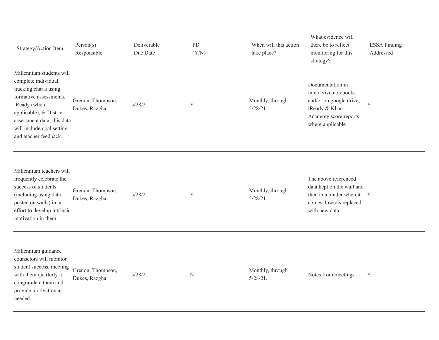| Strategy/Action Item                                                                                                                                                                                                              | Person(s)<br>Responsible           | Deliverable<br>Due Date | PD<br>(Y/N) | When will this action<br>take place? | What evidence will<br>there be to reflect<br>monitoring for this<br>strategy?                                                      | <b>ESSA Finding</b><br>Addressed |
|-----------------------------------------------------------------------------------------------------------------------------------------------------------------------------------------------------------------------------------|------------------------------------|-------------------------|-------------|--------------------------------------|------------------------------------------------------------------------------------------------------------------------------------|----------------------------------|
| Millennium students will<br>complete individual<br>tracking charts using<br>formative assessments,<br>iReady (when<br>applicable), & District<br>assessment data; this data<br>will include goal setting<br>and teacher feedback. | Grenon, Thompson,<br>Dukes, Razgha | 5/28/21                 | Y           | Monthly, through<br>$5/28/21$ .      | Documentation in<br>interactive notebooks<br>and/or on google drive;<br>iReady & Khan<br>Academy score reports<br>where applicable | Y                                |
| Millennium teachers will<br>frequently celebrate the<br>success of students<br>(including using data<br>posted on walls) in an<br>effort to develop intrinsic<br>motivation in them.                                              | Grenon, Thompson,<br>Dukes, Razgha | 5/28/21                 | Y           | Monthly, through<br>$5/28/21$ .      | The above referenced<br>data kept on the wall and<br>then in a binder when it Y<br>comes down/is replaced<br>with new data         |                                  |
| Millennium guidance<br>counselors will monitor<br>student success, meeting<br>with them quarterly to<br>congratulate them and<br>provide motivation as<br>needed.                                                                 | Grenon, Thompson,<br>Dukes, Razgha | 5/28/21                 | ${\bf N}$   | Monthly, through<br>$5/28/21$ .      | Notes from meetings                                                                                                                | Y                                |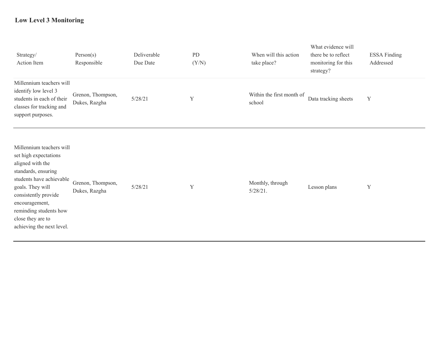## **Low Level 3 Monitoring**

| Strategy/<br>Action Item                                                                                                                                                                                                                                           | Person(s)<br>Responsible           | Deliverable<br>Due Date | PD<br>(Y/N) | When will this action<br>take place? | What evidence will<br>there be to reflect<br>monitoring for this<br>strategy? | <b>ESSA Finding</b><br>Addressed |
|--------------------------------------------------------------------------------------------------------------------------------------------------------------------------------------------------------------------------------------------------------------------|------------------------------------|-------------------------|-------------|--------------------------------------|-------------------------------------------------------------------------------|----------------------------------|
| Millennium teachers will<br>identify low level 3<br>students in each of their<br>classes for tracking and<br>support purposes.                                                                                                                                     | Grenon, Thompson,<br>Dukes, Razgha | 5/28/21                 | $\mathbf Y$ | Within the first month of<br>school  | Data tracking sheets                                                          | $\mathbf Y$                      |
| Millennium teachers will<br>set high expectations<br>aligned with the<br>standards, ensuring<br>students have achievable<br>goals. They will<br>consistently provide<br>encouragement,<br>reminding students how<br>close they are to<br>achieving the next level. | Grenon, Thompson,<br>Dukes, Razgha | 5/28/21                 | Y           | Monthly, through<br>$5/28/21$ .      | Lesson plans                                                                  | Y                                |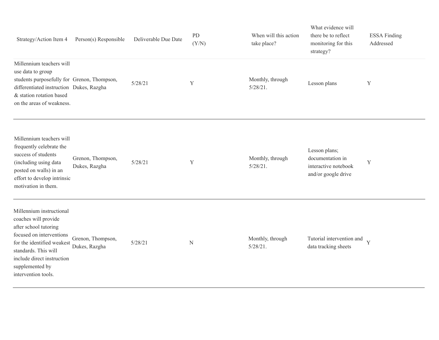| Strategy/Action Item 4                                                                                                                                                                                                              | Person(s) Responsible              | Deliverable Due Date | PD<br>(Y/N) | When will this action<br>take place? | What evidence will<br>there be to reflect<br>monitoring for this<br>strategy?    | <b>ESSA Finding</b><br>Addressed |
|-------------------------------------------------------------------------------------------------------------------------------------------------------------------------------------------------------------------------------------|------------------------------------|----------------------|-------------|--------------------------------------|----------------------------------------------------------------------------------|----------------------------------|
| Millennium teachers will<br>use data to group<br>students purposefully for Grenon, Thompson,<br>differentiated instruction Dukes, Razgha<br>& station rotation based<br>on the areas of weakness.                                   |                                    | 5/28/21              | Y           | Monthly, through<br>$5/28/21$ .      | Lesson plans                                                                     | Y                                |
| Millennium teachers will<br>frequently celebrate the<br>success of students<br>(including using data<br>posted on walls) in an<br>effort to develop intrinsic<br>motivation in them.                                                | Grenon, Thompson,<br>Dukes, Razgha | 5/28/21              | Y           | Monthly, through<br>$5/28/21$ .      | Lesson plans;<br>documentation in<br>interactive notebook<br>and/or google drive | Y                                |
| Millennium instructional<br>coaches will provide<br>after school tutoring<br>focused on interventions<br>for the identified weakest<br>standards. This will<br>include direct instruction<br>supplemented by<br>intervention tools. | Grenon, Thompson,<br>Dukes, Razgha | 5/28/21              | $\mathbf N$ | Monthly, through<br>$5/28/21$ .      | Tutorial intervention and<br>data tracking sheets                                | Y                                |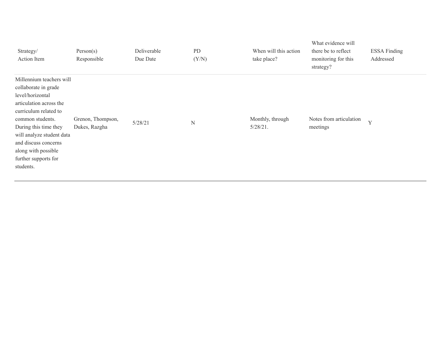| Strategy/<br>Action Item                                                                                                                                                                                                                                                               | Person(s)<br>Responsible           | Deliverable<br>Due Date | PD<br>(Y/N) | When will this action<br>take place? | What evidence will<br>there be to reflect<br>monitoring for this<br>strategy? | <b>ESSA Finding</b><br>Addressed |
|----------------------------------------------------------------------------------------------------------------------------------------------------------------------------------------------------------------------------------------------------------------------------------------|------------------------------------|-------------------------|-------------|--------------------------------------|-------------------------------------------------------------------------------|----------------------------------|
| Millennium teachers will<br>collaborate in grade<br>level/horizontal<br>articulation across the<br>curriculum related to<br>common students.<br>During this time they<br>will analyze student data<br>and discuss concerns<br>along with possible<br>further supports for<br>students. | Grenon, Thompson,<br>Dukes, Razgha | 5/28/21                 | $\mathbf N$ | Monthly, through<br>$5/28/21$ .      | Notes from articulation<br>meetings                                           | Y                                |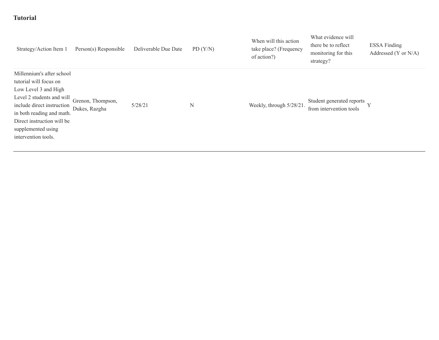#### **Tutorial**

| Strategy/Action Item 1                                                                                                                                                                                                                         | Person(s) Responsible              | Deliverable Due Date | PD (Y/N) | When will this action<br>take place? (Frequency<br>of action?) | What evidence will<br>there be to reflect<br>monitoring for this<br>strategy? | <b>ESSA Finding</b><br>Addressed $(Y$ or $N/A$ ) |
|------------------------------------------------------------------------------------------------------------------------------------------------------------------------------------------------------------------------------------------------|------------------------------------|----------------------|----------|----------------------------------------------------------------|-------------------------------------------------------------------------------|--------------------------------------------------|
| Millennium's after school<br>tutorial will focus on<br>Low Level 3 and High<br>Level 2 students and will<br>include direct instruction<br>in both reading and math.<br>Direct instruction will be<br>supplemented using<br>intervention tools. | Grenon, Thompson,<br>Dukes, Razgha | 5/28/21              | N        | Weekly, through 5/28/21                                        | Student generated reports <sub>V</sub><br>from intervention tools             |                                                  |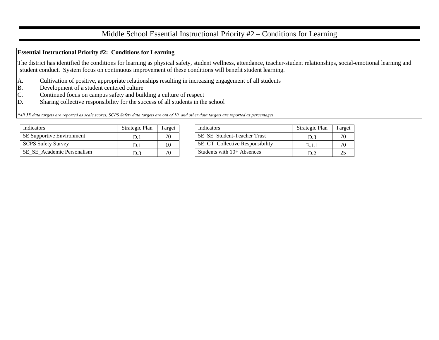### Middle School Essential Instructional Priority #2 – Conditions for Learning

#### **Essential Instructional Priority #2: Conditions for Learning**

The district has identified the conditions for learning as physical safety, student wellness, attendance, teacher-student relationships, social-emotional learning and student conduct. System focus on continuous improvement of these conditions will benefit student learning.

- A. Cultivation of positive, appropriate relationships resulting in increasing engagement of all students
- B. Development of a student centered culture<br>C. Continued focus on campus safety and buil
- Continued focus on campus safety and building a culture of respect
- D. Sharing collective responsibility for the success of all students in the school

*\*All 5E data targets are reported as scale scores, SCPS Safety data targets are out of 10, and other data targets are reported as percentages.*

| Indicators                 | Strategic Plan | Target |
|----------------------------|----------------|--------|
| 5E Supportive Environment  |                |        |
| <b>SCPS Safety Survey</b>  | D 1            |        |
| 5E SE Academic Personalism | D3             |        |

| arget | Indicators                      | Strategic Plan | Target |
|-------|---------------------------------|----------------|--------|
| 70    | 5E SE Student-Teacher Trust     |                | 70     |
| 10    | 5E_CT_Collective Responsibility | B.1.1          | 70     |
| 70    | Students with $10+$ Absences    |                |        |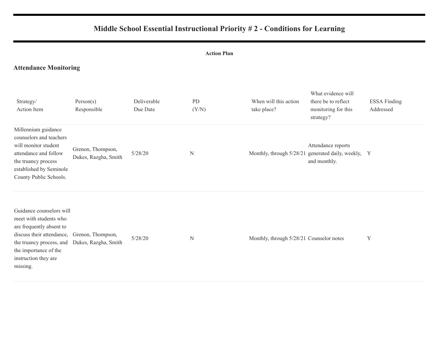# **Middle School Essential Instructional Priority # 2 - Conditions for Learning**

#### **Action Plan**

## **Attendance Monitoring**

| Strategy/<br>Action Item                                                                                                                                                                             | Person(s)<br>Responsible                  | Deliverable<br>Due Date | <b>PD</b><br>(Y/N) | When will this action<br>take place?     | What evidence will<br>there be to reflect<br>monitoring for this<br>strategy? | <b>ESSA Finding</b><br>Addressed |
|------------------------------------------------------------------------------------------------------------------------------------------------------------------------------------------------------|-------------------------------------------|-------------------------|--------------------|------------------------------------------|-------------------------------------------------------------------------------|----------------------------------|
| Millennium guidance<br>counselors and teachers<br>will monitor student<br>attendance and follow<br>the truancy process<br>established by Seminole<br>County Public Schools.                          | Grenon, Thompson,<br>Dukes, Razgha, Smith | 5/28/20                 | N                  | Monthly, through 5/28/21                 | Attendance reports<br>generated daily, weekly, Y<br>and monthly.              |                                  |
| Guidance counselors will<br>meet with students who<br>are frequently absent to<br>discuss their attendance,<br>the truancy process, and<br>the importance of the<br>instruction they are<br>missing. | Grenon, Thompson,<br>Dukes, Razgha, Smith | 5/28/20                 | N                  | Monthly, through 5/28/21 Counselor notes |                                                                               | $\mathbf Y$                      |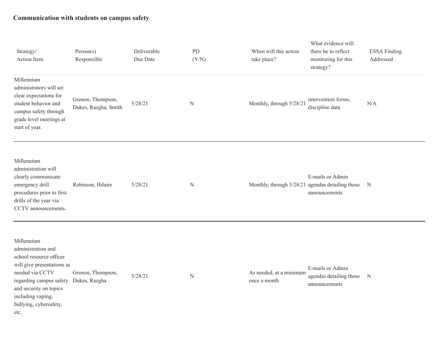## **Communication with students on campus safety**

| Strategy/<br>Action Item                                                                                                                                                                                                 | Person(s)<br>Responsible                  | Deliverable<br>Due Date | PD<br>(Y/N) | When will this action<br>take place?    | What evidence will<br>there be to reflect<br>monitoring for this<br>strategy? | <b>ESSA Finding</b><br>Addressed |
|--------------------------------------------------------------------------------------------------------------------------------------------------------------------------------------------------------------------------|-------------------------------------------|-------------------------|-------------|-----------------------------------------|-------------------------------------------------------------------------------|----------------------------------|
| Millennium<br>administrators will set<br>clear expectations for<br>student behavior and<br>campus safety through<br>grade level meetings at<br>start of year.                                                            | Grenon, Thompson,<br>Dukes, Razgha, Smith | 5/28/21                 | ${\bf N}$   | Monthly, through 5/28/21                | intervention forms,<br>discipline data                                        | N/A                              |
| Millennium<br>administration will<br>clearly communicate<br>emergency drill<br>procedures prior to first<br>drills of the year via<br>CCTV announcements.                                                                | Robinson, Hilaire                         | 5/28/21                 | ${\bf N}$   | Monthly, through 5/28/21                | E-mails or Admin<br>agendas detailing those<br>announcements                  | N                                |
| Millennium<br>administration and<br>school resource officer<br>will give presentations as<br>needed via CCTV<br>regarding campus safety<br>and security on topics<br>including vaping,<br>bullying, cybersafety,<br>etc. | Grenon, Thompson,<br>Dukes, Razgha        | 5/28/21                 | ${\bf N}$   | As needed, at a minimum<br>once a month | E-mails or Admin<br>agendas detailing those<br>announcements                  | $\mathbf N$                      |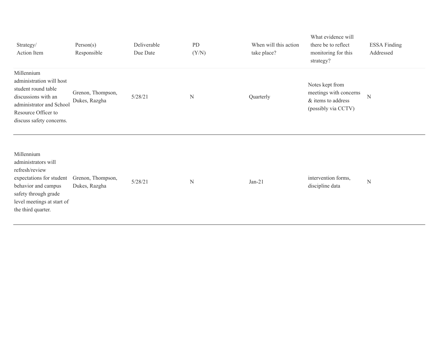| Strategy/<br><b>Action Item</b>                                                                                                                                                    | Person(s)<br>Responsible           | Deliverable<br>Due Date | PD<br>(Y/N) | When will this action<br>take place? | What evidence will<br>there be to reflect<br>monitoring for this<br>strategy?          | <b>ESSA Finding</b><br>Addressed |
|------------------------------------------------------------------------------------------------------------------------------------------------------------------------------------|------------------------------------|-------------------------|-------------|--------------------------------------|----------------------------------------------------------------------------------------|----------------------------------|
| Millennium<br>administration will host<br>student round table<br>discussions with an<br>administrator and School<br>Resource Officer to<br>discuss safety concerns.                | Grenon, Thompson,<br>Dukes, Razgha | 5/28/21                 | $\mathbf N$ | Quarterly                            | Notes kept from<br>meetings with concerns<br>& items to address<br>(possibly via CCTV) | ${\bf N}$                        |
| Millennium<br>administrators will<br>refresh/review<br>expectations for student<br>behavior and campus<br>safety through grade<br>level meetings at start of<br>the third quarter. | Grenon, Thompson,<br>Dukes, Razgha | 5/28/21                 | N           | $Jan-21$                             | intervention forms,<br>discipline data                                                 | ${\bf N}$                        |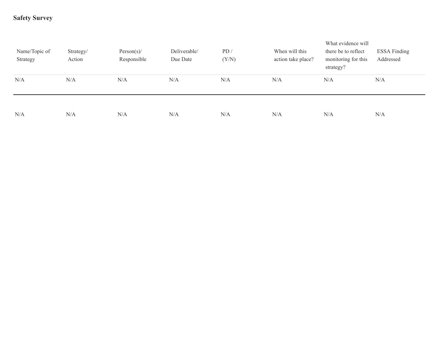## **Safety Survey**

| Name/Topic of<br>Strategy | Strategy/<br>Action | Person(s)<br>Responsible | Deliverable/<br>Due Date | PD/<br>(Y/N) | When will this<br>action take place? | What evidence will<br>there be to reflect<br>monitoring for this<br>strategy? | <b>ESSA Finding</b><br>Addressed |
|---------------------------|---------------------|--------------------------|--------------------------|--------------|--------------------------------------|-------------------------------------------------------------------------------|----------------------------------|
| N/A                       | N/A                 | N/A                      | N/A                      | N/A          | N/A                                  | N/A                                                                           | N/A                              |
|                           |                     |                          |                          |              |                                      |                                                                               |                                  |
| N/A                       | N/A                 | N/A                      | N/A                      | N/A          | N/A                                  | N/A                                                                           | N/A                              |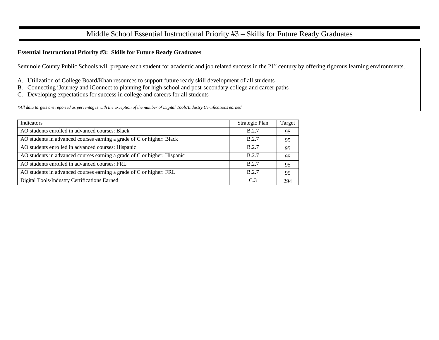## Middle School Essential Instructional Priority #3 – Skills for Future Ready Graduates

#### **Essential Instructional Priority #3: Skills for Future Ready Graduates**

Seminole County Public Schools will prepare each student for academic and job related success in the 21<sup>st</sup> century by offering rigorous learning environments.

- A. Utilization of College Board/Khan resources to support future ready skill development of all students
- B. Connecting iJourney and iConnect to planning for high school and post-secondary college and career paths
- C. Developing expectations for success in college and careers for all students

*\*All data targets are reported as percentages with the exception of the number of Digital Tools/Industry Certifications earned.* 

| <b>Indicators</b>                                                        | Strategic Plan | Target |
|--------------------------------------------------------------------------|----------------|--------|
| AO students enrolled in advanced courses: Black                          | <b>B.2.7</b>   | 95     |
| AO students in advanced courses earning a grade of C or higher: Black    | <b>B.2.7</b>   | 95     |
| AO students enrolled in advanced courses: Hispanic                       | <b>B.2.7</b>   | 95     |
| AO students in advanced courses earning a grade of C or higher: Hispanic | <b>B.2.7</b>   | 95     |
| AO students enrolled in advanced courses: FRL                            | <b>B.2.7</b>   | 95     |
| AO students in advanced courses earning a grade of C or higher: FRL      | <b>B.2.7</b>   | 95     |
| Digital Tools/Industry Certifications Earned                             | C <sub>3</sub> | 294    |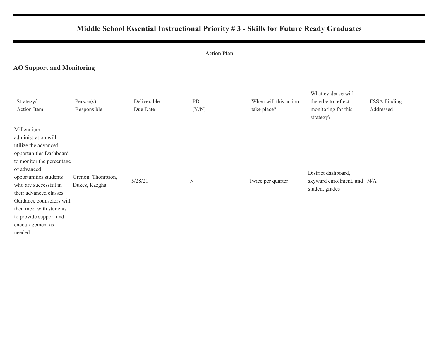# **Middle School Essential Instructional Priority # 3 - Skills for Future Ready Graduates**

**Action Plan**

#### **AO Support and Monitoring**

| Strategy/<br>Action Item                                                                                                                                                                                                                                                                                                       | Person(s)<br>Responsible           | Deliverable<br>Due Date | PD<br>(Y/N) | When will this action<br>take place? | What evidence will<br>there be to reflect<br>monitoring for this<br>strategy? | <b>ESSA Finding</b><br>Addressed |
|--------------------------------------------------------------------------------------------------------------------------------------------------------------------------------------------------------------------------------------------------------------------------------------------------------------------------------|------------------------------------|-------------------------|-------------|--------------------------------------|-------------------------------------------------------------------------------|----------------------------------|
| Millennium<br>administration will<br>utilize the advanced<br>opportunities Dashboard<br>to monitor the percentage<br>of advanced<br>opportunities students<br>who are successful in<br>their advanced classes.<br>Guidance counselors will<br>then meet with students<br>to provide support and<br>encouragement as<br>needed. | Grenon, Thompson,<br>Dukes, Razgha | 5/28/21                 | $\mathbf N$ | Twice per quarter                    | District dashboard,<br>skyward enrollment, and N/A<br>student grades          |                                  |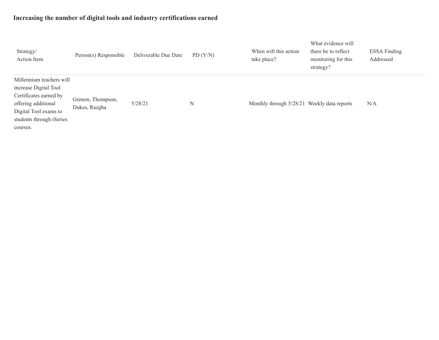| Strategy/<br>Action Item                                                                                                                                            | Person(s) Responsible              | Deliverable Due Date | PD (Y/N) | When will this action<br>take place?        | What evidence will<br>there be to reflect<br>monitoring for this<br>strategy? | <b>ESSA Finding</b><br>Addressed |
|---------------------------------------------------------------------------------------------------------------------------------------------------------------------|------------------------------------|----------------------|----------|---------------------------------------------|-------------------------------------------------------------------------------|----------------------------------|
| Millennium teachers will<br>increase Digital Tool<br>Certificates earned by<br>offering additional<br>Digital Tool exams to<br>students through iSeries<br>courses. | Grenon, Thompson,<br>Dukes, Razgha | 5/28/21              | N        | Monthly through 5/28/21 Weekly data reports |                                                                               | N/A                              |

## **Increasing the number of digital tools and industry certifications earned**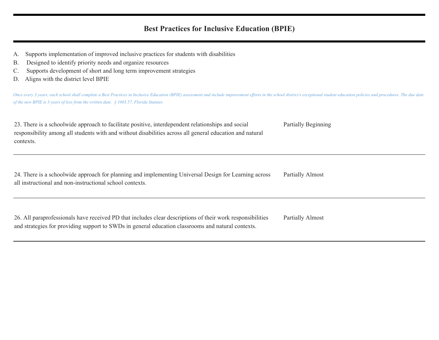## **Best Practices for Inclusive Education (BPIE)**

- A. Supports implementation of improved inclusive practices for students with disabilities
- B. Designed to identify priority needs and organize resources
- C. Supports development of short and long term improvement strategies
- D. Aligns with the district level BPIE

Once every 3 years, each school shall complete a Best Practices in Inclusive Education (BPIE) assessment and include improvement efforts in the school district's exceptional student education policies and procedures. The d *of the new BPIE is 3 years of less from the written date. § 1003.57, Florida Statutes*

| 23. There is a schoolwide approach to facilitate positive, interdependent relationships and social       | Partially Beginning |
|----------------------------------------------------------------------------------------------------------|---------------------|
| responsibility among all students with and without disabilities across all general education and natural |                     |
| contexts.                                                                                                |                     |

| 24. There is a schoolwide approach for planning and implementing Universal Design for Learning across | Partially Almost |
|-------------------------------------------------------------------------------------------------------|------------------|
| all instructional and non-instructional school contexts.                                              |                  |

Partially Almost 26. All paraprofessionals have received PD that includes clear descriptions of their work responsibilities and strategies for providing support to SWDs in general education classrooms and natural contexts.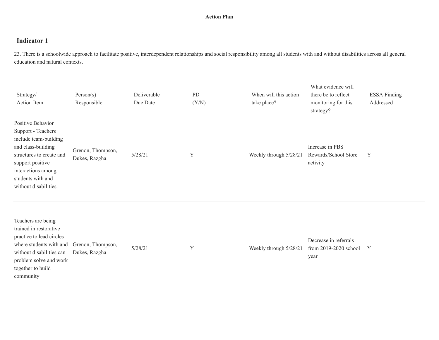#### **Indicator 1**

23. There is a schoolwide approach to facilitate positive, interdependent relationships and social responsibility among all students with and without disabilities across all general education and natural contexts.

| Strategy/<br>Action Item                                                                                                                                                                                   | Person(s)<br>Responsible           | Deliverable<br>Due Date | <b>PD</b><br>(Y/N) | When will this action<br>take place? | What evidence will<br>there be to reflect<br>monitoring for this<br>strategy? | <b>ESSA Finding</b><br>Addressed |
|------------------------------------------------------------------------------------------------------------------------------------------------------------------------------------------------------------|------------------------------------|-------------------------|--------------------|--------------------------------------|-------------------------------------------------------------------------------|----------------------------------|
| Positive Behavior<br>Support - Teachers<br>include team-building<br>and class-building<br>structures to create and<br>support positive<br>interactions among<br>students with and<br>without disabilities. | Grenon, Thompson,<br>Dukes, Razgha | 5/28/21                 | $\mathbf Y$        | Weekly through 5/28/21               | Increase in PBS<br>Rewards/School Store<br>activity                           | Y                                |
| Teachers are being<br>trained in restorative<br>practice to lead circles<br>where students with and<br>without disabilities can<br>problem solve and work<br>together to build<br>community                | Grenon, Thompson,<br>Dukes, Razgha | 5/28/21                 | $\mathbf Y$        | Weekly through 5/28/21               | Decrease in referrals<br>from 2019-2020 school<br>year                        | Y                                |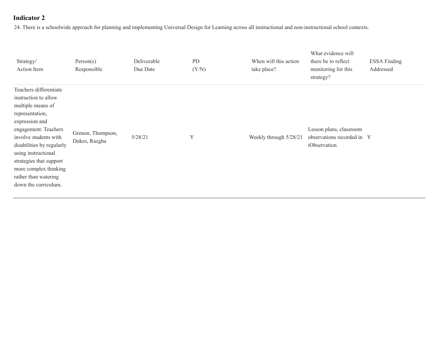#### **Indicator 2**

24. There is a schoolwide approach for planning and implementing Universal Design for Learning across all instructional and non-instructional school contexts.

| Strategy/<br>Action Item                                                                                                                                                                                                                                                                                          | Person(s)<br>Responsible           | Deliverable<br>Due Date | PD<br>(Y/N) | When will this action<br>take place? | What evidence will<br>there be to reflect<br>monitoring for this<br>strategy? | <b>ESSA Finding</b><br>Addressed |
|-------------------------------------------------------------------------------------------------------------------------------------------------------------------------------------------------------------------------------------------------------------------------------------------------------------------|------------------------------------|-------------------------|-------------|--------------------------------------|-------------------------------------------------------------------------------|----------------------------------|
| Teachers differentiate<br>instruction to allow<br>multiple means of<br>representation,<br>expression and<br>engagement. Teachers<br>involve students with<br>disabilities by regularly<br>using instructional<br>strategies that support<br>more complex thinking<br>rather than watering<br>down the curriculum. | Grenon, Thompson,<br>Dukes, Razgha | 5/28/21                 | Y           | Weekly through 5/28/21               | Lesson plans, classroom<br>observations recorded in Y<br>iObservation         |                                  |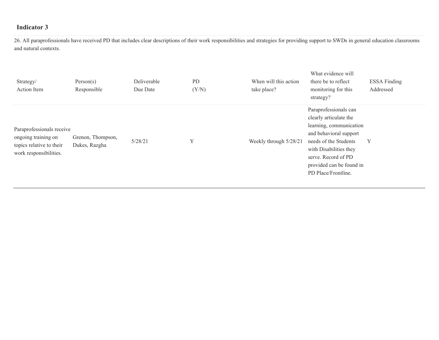#### **Indicator 3**

26. All paraprofessionals have received PD that includes clear descriptions of their work responsibilities and strategies for providing support to SWDs in general education classrooms and natural contexts.

| Strategy/<br>Action Item                                                                               | Person(s)<br>Responsible           | Deliverable<br>Due Date | <b>PD</b><br>(Y/N) | When will this action<br>take place? | What evidence will<br>there be to reflect<br>monitoring for this<br>strategy?                                                                                                                                                     | <b>ESSA Finding</b><br>Addressed |
|--------------------------------------------------------------------------------------------------------|------------------------------------|-------------------------|--------------------|--------------------------------------|-----------------------------------------------------------------------------------------------------------------------------------------------------------------------------------------------------------------------------------|----------------------------------|
| Paraprofessionals receive<br>ongoing training on<br>topics relative to their<br>work responsibilities. | Grenon, Thompson,<br>Dukes, Razgha | 5/28/21                 | Y                  | Weekly through 5/28/21               | Paraprofessionals can<br>clearly articulate the<br>learning, communication<br>and behavioral support<br>needs of the Students<br>with Disabilities they<br>serve. Record of PD<br>provided can be found in<br>PD Place/Frontline. | Y                                |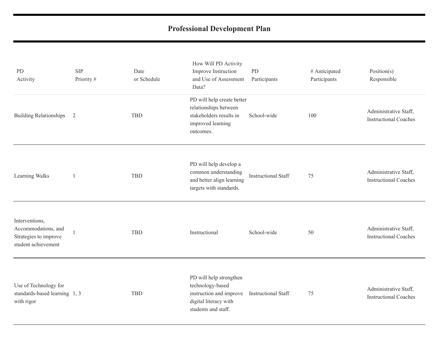# **Professional Development Plan**

| <b>PD</b><br>Activity                                                                 | <b>SIP</b><br>Priority# | Date<br>or Schedule | How Will PD Activity<br>Improve Instruction<br>and Use of Assessment<br>Data?                                          | PD<br>Participants         | # Anticipated<br>Participants | Position(s)<br>Responsible                            |
|---------------------------------------------------------------------------------------|-------------------------|---------------------|------------------------------------------------------------------------------------------------------------------------|----------------------------|-------------------------------|-------------------------------------------------------|
| <b>Building Relationships</b>                                                         | 2                       | <b>TBD</b>          | PD will help create better<br>relationships between<br>stakeholders results in<br>improved learning<br>outcomes.       | School-wide                | 100                           | Administrative Staff,<br><b>Instructional Coaches</b> |
| Learning Walks                                                                        |                         | <b>TBD</b>          | PD will help develop a<br>common understanding<br>and better align learning<br>targets with standards.                 | <b>Instructional Staff</b> | 75                            | Administrative Staff,<br><b>Instructional Coaches</b> |
| Interventions,<br>Accommodations, and<br>Strategies to improve<br>student achievement |                         | <b>TBD</b>          | Instructional                                                                                                          | School-wide                | 50                            | Administrative Staff,<br><b>Instructional Coaches</b> |
| Use of Technology for<br>standards-based learning 1, 3<br>with rigor                  |                         | <b>TBD</b>          | PD will help strengthen<br>technology-based<br>instruction and improve<br>digital literacy with<br>students and staff. | <b>Instructional Staff</b> | 75                            | Administrative Staff,<br><b>Instructional Coaches</b> |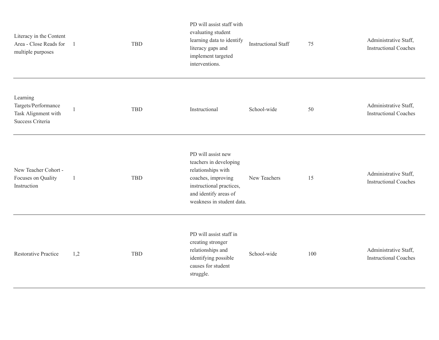| Literacy in the Content<br>Area - Close Reads for<br>multiple purposes     | $\overline{\phantom{0}}$ | <b>TBD</b> | PD will assist staff with<br>evaluating student<br>learning data to identify<br>literacy gaps and<br>implement targeted<br>interventions.                                  | <b>Instructional Staff</b> | 75  | Administrative Staff,<br><b>Instructional Coaches</b> |
|----------------------------------------------------------------------------|--------------------------|------------|----------------------------------------------------------------------------------------------------------------------------------------------------------------------------|----------------------------|-----|-------------------------------------------------------|
| Learning<br>Targets/Performance<br>Task Alignment with<br>Success Criteria | $\mathbf{1}$             | <b>TBD</b> | Instructional                                                                                                                                                              | School-wide                | 50  | Administrative Staff,<br><b>Instructional Coaches</b> |
| New Teacher Cohort -<br>Focuses on Quality<br>Instruction                  | $\mathbf{1}$             | <b>TBD</b> | PD will assist new<br>teachers in developing<br>relationships with<br>coaches, improving<br>instructional practices,<br>and identify areas of<br>weakness in student data. | New Teachers               | 15  | Administrative Staff,<br><b>Instructional Coaches</b> |
| <b>Restorative Practice</b>                                                | 1,2                      | <b>TBD</b> | PD will assist staff in<br>creating stronger<br>relationships and<br>identifying possible<br>causes for student<br>struggle.                                               | School-wide                | 100 | Administrative Staff,<br><b>Instructional Coaches</b> |